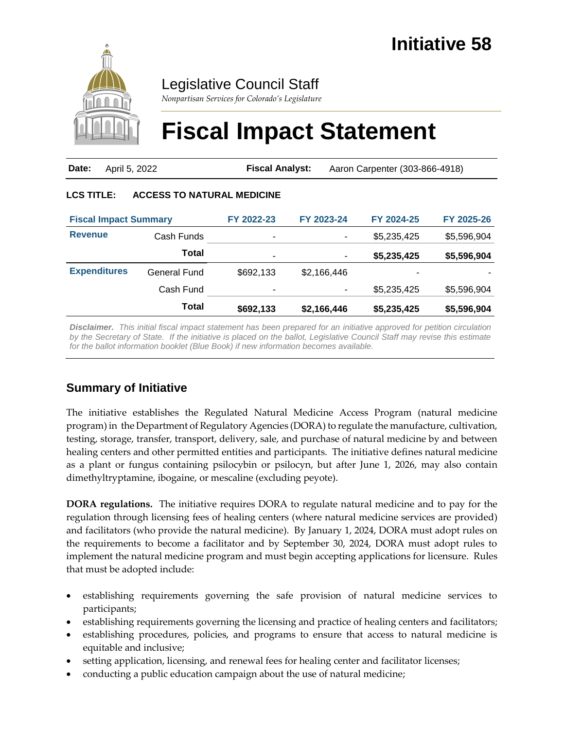

# Legislative Council Staff

*Nonpartisan Services for Colorado's Legislature*

# **Fiscal Impact Statement**

| <b>Date:</b> April 5, 2022 | <b>Fiscal Analyst:</b> | Aaron Carpenter (303-866-4918) |
|----------------------------|------------------------|--------------------------------|
|                            |                        |                                |

#### **LCS TITLE: ACCESS TO NATURAL MEDICINE**

| <b>Fiscal Impact Summary</b> |              | FY 2022-23 | FY 2023-24  | FY 2024-25  | FY 2025-26  |
|------------------------------|--------------|------------|-------------|-------------|-------------|
| <b>Revenue</b>               | Cash Funds   | ۰          | ۰           | \$5,235,425 | \$5,596,904 |
|                              | Total        | ۰          | ٠           | \$5,235,425 | \$5,596,904 |
| <b>Expenditures</b>          | General Fund | \$692,133  | \$2,166,446 | -           |             |
|                              | Cash Fund    | ۰          | ۰           | \$5,235,425 | \$5,596,904 |
|                              | Total        | \$692,133  | \$2,166,446 | \$5,235,425 | \$5,596,904 |

*Disclaimer. This initial fiscal impact statement has been prepared for an initiative approved for petition circulation by the Secretary of State. If the initiative is placed on the ballot, Legislative Council Staff may revise this estimate for the ballot information booklet (Blue Book) if new information becomes available.*

## **Summary of Initiative**

The initiative establishes the Regulated Natural Medicine Access Program (natural medicine program) in the Department of Regulatory Agencies (DORA) to regulate the manufacture, cultivation, testing, storage, transfer, transport, delivery, sale, and purchase of natural medicine by and between healing centers and other permitted entities and participants. The initiative defines natural medicine as a plant or fungus containing psilocybin or psilocyn, but after June 1, 2026, may also contain dimethyltryptamine, ibogaine, or mescaline (excluding peyote).

**DORA regulations.** The initiative requires DORA to regulate natural medicine and to pay for the regulation through licensing fees of healing centers (where natural medicine services are provided) and facilitators (who provide the natural medicine). By January 1, 2024, DORA must adopt rules on the requirements to become a facilitator and by September 30, 2024, DORA must adopt rules to implement the natural medicine program and must begin accepting applications for licensure. Rules that must be adopted include:

- establishing requirements governing the safe provision of natural medicine services to participants;
- establishing requirements governing the licensing and practice of healing centers and facilitators;
- establishing procedures, policies, and programs to ensure that access to natural medicine is equitable and inclusive;
- setting application, licensing, and renewal fees for healing center and facilitator licenses;
- conducting a public education campaign about the use of natural medicine;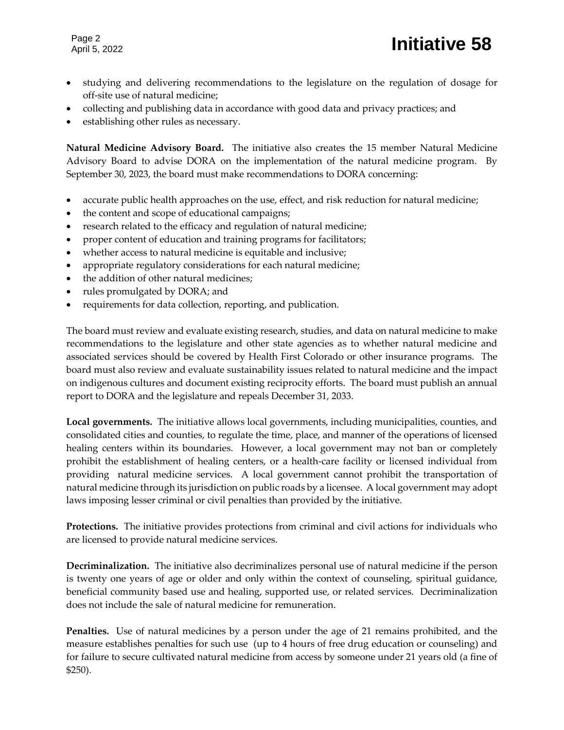- studying and delivering recommendations to the legislature on the regulation of dosage for off-site use of natural medicine;
- collecting and publishing data in accordance with good data and privacy practices; and
- establishing other rules as necessary.

**Natural Medicine Advisory Board.** The initiative also creates the 15 member Natural Medicine Advisory Board to advise DORA on the implementation of the natural medicine program. By September 30, 2023, the board must make recommendations to DORA concerning:

- accurate public health approaches on the use, effect, and risk reduction for natural medicine;
- the content and scope of educational campaigns;
- research related to the efficacy and regulation of natural medicine;
- proper content of education and training programs for facilitators;
- whether access to natural medicine is equitable and inclusive;
- appropriate regulatory considerations for each natural medicine;
- the addition of other natural medicines;
- rules promulgated by DORA; and
- requirements for data collection, reporting, and publication.

The board must review and evaluate existing research, studies, and data on natural medicine to make recommendations to the legislature and other state agencies as to whether natural medicine and associated services should be covered by Health First Colorado or other insurance programs. The board must also review and evaluate sustainability issues related to natural medicine and the impact on indigenous cultures and document existing reciprocity efforts. The board must publish an annual report to DORA and the legislature and repeals December 31, 2033.

**Local governments.** The initiative allows local governments, including municipalities, counties, and consolidated cities and counties, to regulate the time, place, and manner of the operations of licensed healing centers within its boundaries. However, a local government may not ban or completely prohibit the establishment of healing centers, or a health-care facility or licensed individual from providing natural medicine services. A local government cannot prohibit the transportation of natural medicine through its jurisdiction on public roads by a licensee. A local government may adopt laws imposing lesser criminal or civil penalties than provided by the initiative.

**Protections.** The initiative provides protections from criminal and civil actions for individuals who are licensed to provide natural medicine services.

**Decriminalization.** The initiative also decriminalizes personal use of natural medicine if the person is twenty one years of age or older and only within the context of counseling, spiritual guidance, beneficial community based use and healing, supported use, or related services. Decriminalization does not include the sale of natural medicine for remuneration.

**Penalties.** Use of natural medicines by a person under the age of 21 remains prohibited, and the measure establishes penalties for such use (up to 4 hours of free drug education or counseling) and for failure to secure cultivated natural medicine from access by someone under 21 years old (a fine of \$250).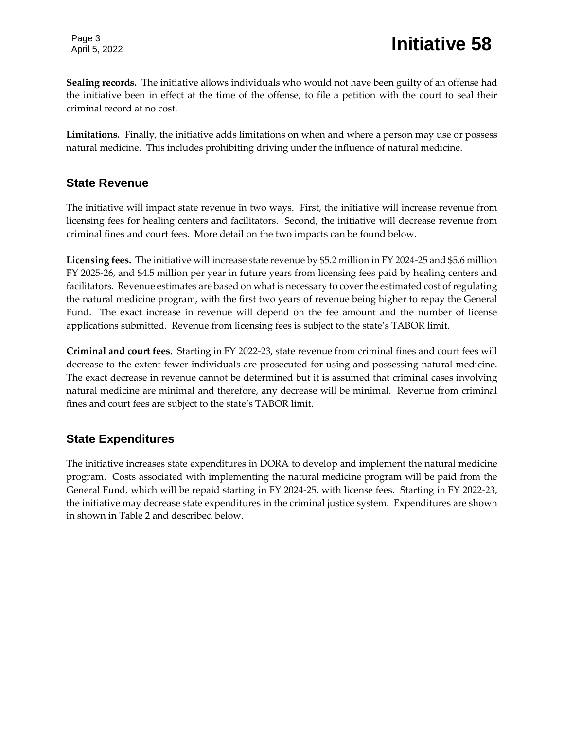**Sealing records.** The initiative allows individuals who would not have been guilty of an offense had the initiative been in effect at the time of the offense, to file a petition with the court to seal their criminal record at no cost.

**Limitations.** Finally, the initiative adds limitations on when and where a person may use or possess natural medicine. This includes prohibiting driving under the influence of natural medicine.

### **State Revenue**

The initiative will impact state revenue in two ways. First, the initiative will increase revenue from licensing fees for healing centers and facilitators. Second, the initiative will decrease revenue from criminal fines and court fees. More detail on the two impacts can be found below.

**Licensing fees.** The initiative will increase state revenue by \$5.2 million in FY 2024-25 and \$5.6 million FY 2025-26, and \$4.5 million per year in future years from licensing fees paid by healing centers and facilitators. Revenue estimates are based on what is necessary to cover the estimated cost of regulating the natural medicine program, with the first two years of revenue being higher to repay the General Fund. The exact increase in revenue will depend on the fee amount and the number of license applications submitted. Revenue from licensing fees is subject to the state's TABOR limit.

**Criminal and court fees.** Starting in FY 2022-23, state revenue from criminal fines and court fees will decrease to the extent fewer individuals are prosecuted for using and possessing natural medicine. The exact decrease in revenue cannot be determined but it is assumed that criminal cases involving natural medicine are minimal and therefore, any decrease will be minimal. Revenue from criminal fines and court fees are subject to the state's TABOR limit.

## **State Expenditures**

The initiative increases state expenditures in DORA to develop and implement the natural medicine program. Costs associated with implementing the natural medicine program will be paid from the General Fund, which will be repaid starting in FY 2024-25, with license fees. Starting in FY 2022-23, the initiative may decrease state expenditures in the criminal justice system. Expenditures are shown in shown in Table 2 and described below.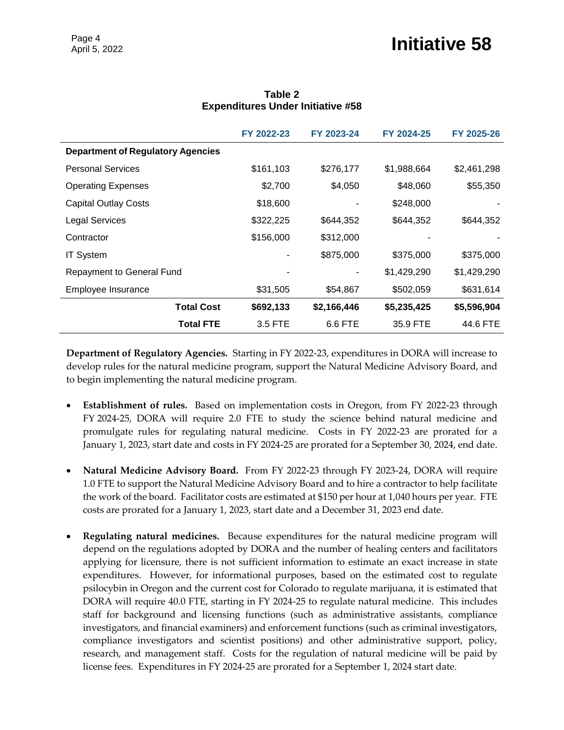|                                          | FY 2022-23 | FY 2023-24  | FY 2024-25  | FY 2025-26  |
|------------------------------------------|------------|-------------|-------------|-------------|
| <b>Department of Regulatory Agencies</b> |            |             |             |             |
| <b>Personal Services</b>                 | \$161,103  | \$276,177   | \$1,988,664 | \$2,461,298 |
| <b>Operating Expenses</b>                | \$2,700    | \$4,050     | \$48,060    | \$55,350    |
| <b>Capital Outlay Costs</b>              | \$18,600   |             | \$248,000   |             |
| <b>Legal Services</b>                    | \$322,225  | \$644,352   | \$644,352   | \$644,352   |
| Contractor                               | \$156,000  | \$312,000   |             |             |
| <b>IT System</b>                         |            | \$875,000   | \$375,000   | \$375,000   |
| Repayment to General Fund                |            |             | \$1,429,290 | \$1,429,290 |
| Employee Insurance                       | \$31,505   | \$54,867    | \$502,059   | \$631,614   |
| <b>Total Cost</b>                        | \$692,133  | \$2,166,446 | \$5,235,425 | \$5,596,904 |
| <b>Total FTE</b>                         | 3.5 FTE    | 6.6 FTE     | 35.9 FTE    | 44.6 FTE    |

#### **Table 2 Expenditures Under Initiative #58**

**Department of Regulatory Agencies.** Starting in FY 2022-23, expenditures in DORA will increase to develop rules for the natural medicine program, support the Natural Medicine Advisory Board, and to begin implementing the natural medicine program.

- **Establishment of rules.** Based on implementation costs in Oregon, from FY 2022-23 through FY 2024-25, DORA will require 2.0 FTE to study the science behind natural medicine and promulgate rules for regulating natural medicine. Costs in FY 2022-23 are prorated for a January 1, 2023, start date and costs in FY 2024-25 are prorated for a September 30, 2024, end date.
- **Natural Medicine Advisory Board.** From FY 2022-23 through FY 2023-24, DORA will require 1.0 FTE to support the Natural Medicine Advisory Board and to hire a contractor to help facilitate the work of the board. Facilitator costs are estimated at \$150 per hour at 1,040 hours per year. FTE costs are prorated for a January 1, 2023, start date and a December 31, 2023 end date.
- **Regulating natural medicines.** Because expenditures for the natural medicine program will depend on the regulations adopted by DORA and the number of healing centers and facilitators applying for licensure, there is not sufficient information to estimate an exact increase in state expenditures. However, for informational purposes, based on the estimated cost to regulate psilocybin in Oregon and the current cost for Colorado to regulate marijuana, it is estimated that DORA will require 40.0 FTE, starting in FY 2024-25 to regulate natural medicine. This includes staff for background and licensing functions (such as administrative assistants, compliance investigators, and financial examiners) and enforcement functions (such as criminal investigators, compliance investigators and scientist positions) and other administrative support, policy, research, and management staff. Costs for the regulation of natural medicine will be paid by license fees. Expenditures in FY 2024-25 are prorated for a September 1, 2024 start date.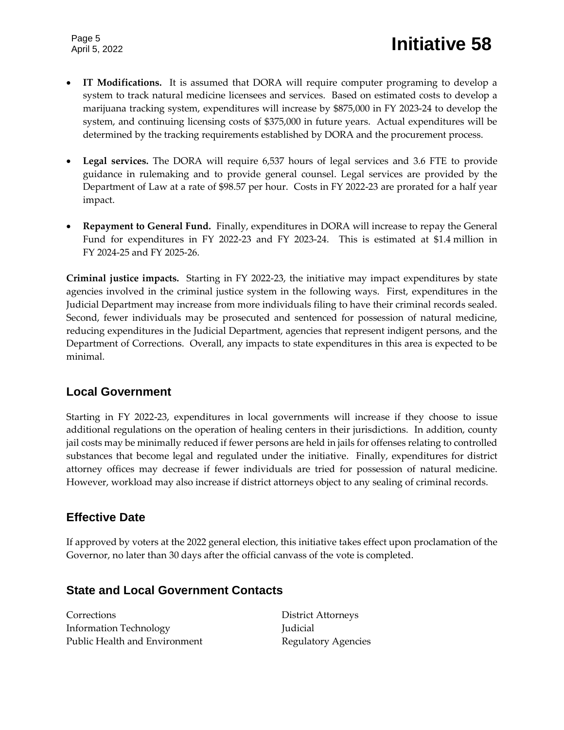Page 5

- **IT Modifications.** It is assumed that DORA will require computer programing to develop a system to track natural medicine licensees and services. Based on estimated costs to develop a marijuana tracking system, expenditures will increase by \$875,000 in FY 2023-24 to develop the system, and continuing licensing costs of \$375,000 in future years. Actual expenditures will be determined by the tracking requirements established by DORA and the procurement process.
- **Legal services.** The DORA will require 6,537 hours of legal services and 3.6 FTE to provide guidance in rulemaking and to provide general counsel. Legal services are provided by the Department of Law at a rate of \$98.57 per hour. Costs in FY 2022-23 are prorated for a half year impact.
- **Repayment to General Fund.** Finally, expenditures in DORA will increase to repay the General Fund for expenditures in FY 2022-23 and FY 2023-24. This is estimated at \$1.4 million in FY 2024-25 and FY 2025-26.

**Criminal justice impacts.** Starting in FY 2022-23, the initiative may impact expenditures by state agencies involved in the criminal justice system in the following ways. First, expenditures in the Judicial Department may increase from more individuals filing to have their criminal records sealed. Second, fewer individuals may be prosecuted and sentenced for possession of natural medicine, reducing expenditures in the Judicial Department, agencies that represent indigent persons, and the Department of Corrections. Overall, any impacts to state expenditures in this area is expected to be minimal.

## **Local Government**

Starting in FY 2022-23, expenditures in local governments will increase if they choose to issue additional regulations on the operation of healing centers in their jurisdictions. In addition, county jail costs may be minimally reduced if fewer persons are held in jails for offenses relating to controlled substances that become legal and regulated under the initiative. Finally, expenditures for district attorney offices may decrease if fewer individuals are tried for possession of natural medicine. However, workload may also increase if district attorneys object to any sealing of criminal records.

## **Effective Date**

If approved by voters at the 2022 general election, this initiative takes effect upon proclamation of the Governor, no later than 30 days after the official canvass of the vote is completed.

## **State and Local Government Contacts**

Corrections District Attorneys Information Technology Judicial Public Health and Environment Regulatory Agencies